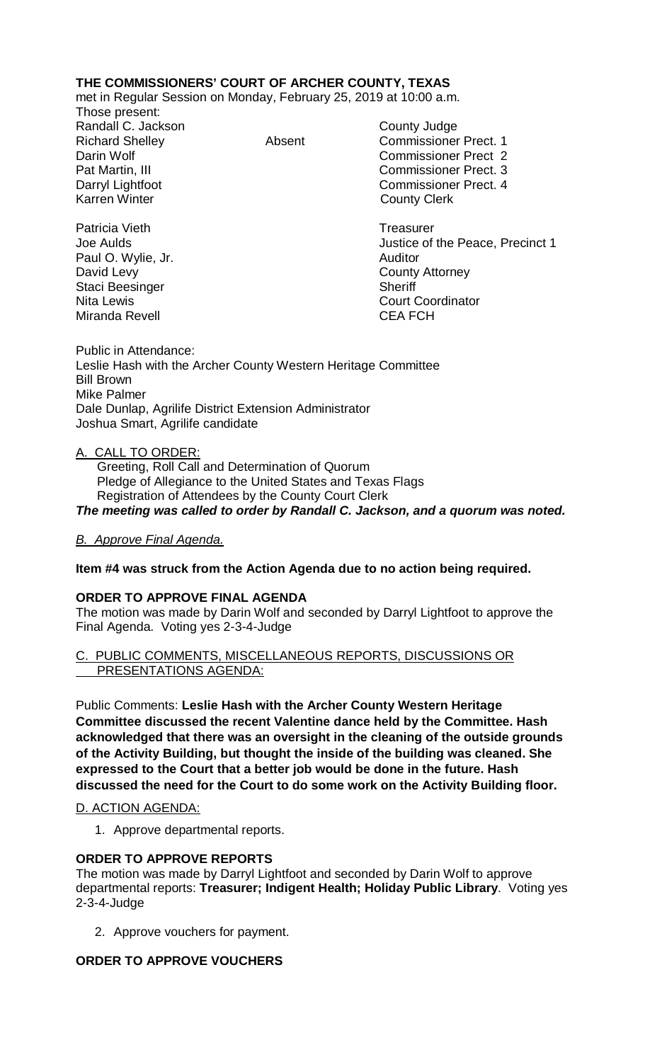# **THE COMMISSIONERS' COURT OF ARCHER COUNTY, TEXAS**

met in Regular Session on Monday, February 25, 2019 at 10:00 a.m.

Those present: Randall C. Jackson County Judge Karren Winter **County Clerk** 

Richard Shelley **Absent** Commissioner Prect. 1 Darin Wolf Commissioner Prect 2 Pat Martin, III Commissioner Prect. 3 Commissioner Prect. 4

Patricia Vieth **Treasurer** Treasurer Paul O. Wylie, Jr. **Auditor** Auditor David Levy **County Attorney** Staci Beesinger Sheriff Miranda Revell **CEA FCH** 

Joe Aulds Justice of the Peace, Precinct 1 Nita Lewis **Court Coordinator** Court Coordinator

Public in Attendance: Leslie Hash with the Archer County Western Heritage Committee Bill Brown Mike Palmer Dale Dunlap, Agrilife District Extension Administrator Joshua Smart, Agrilife candidate

# A. CALL TO ORDER:

 Greeting, Roll Call and Determination of Quorum Pledge of Allegiance to the United States and Texas Flags Registration of Attendees by the County Court Clerk *The meeting was called to order by Randall C. Jackson, and a quorum was noted.*

# *B. Approve Final Agenda.*

# **Item #4 was struck from the Action Agenda due to no action being required.**

#### **ORDER TO APPROVE FINAL AGENDA**

The motion was made by Darin Wolf and seconded by Darryl Lightfoot to approve the Final Agenda. Voting yes 2-3-4-Judge

#### C. PUBLIC COMMENTS, MISCELLANEOUS REPORTS, DISCUSSIONS OR PRESENTATIONS AGENDA:

Public Comments: **Leslie Hash with the Archer County Western Heritage Committee discussed the recent Valentine dance held by the Committee. Hash acknowledged that there was an oversight in the cleaning of the outside grounds of the Activity Building, but thought the inside of the building was cleaned. She expressed to the Court that a better job would be done in the future. Hash discussed the need for the Court to do some work on the Activity Building floor.** 

# D. ACTION AGENDA:

1. Approve departmental reports.

# **ORDER TO APPROVE REPORTS**

The motion was made by Darryl Lightfoot and seconded by Darin Wolf to approve departmental reports: **Treasurer; Indigent Health; Holiday Public Library**. Voting yes 2-3-4-Judge

2. Approve vouchers for payment.

# **ORDER TO APPROVE VOUCHERS**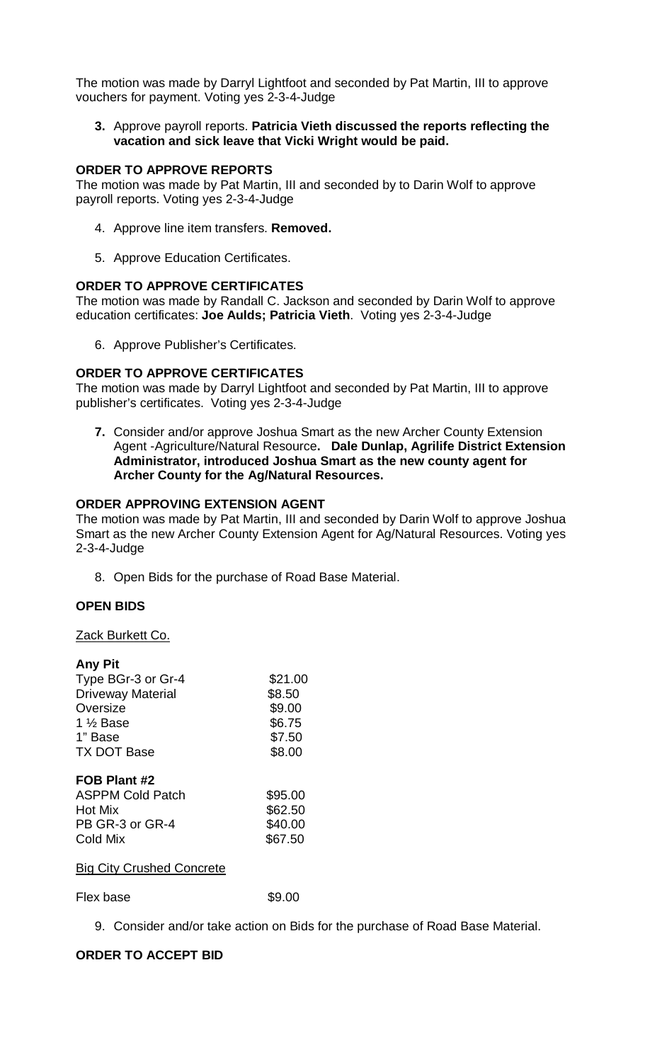The motion was made by Darryl Lightfoot and seconded by Pat Martin, III to approve vouchers for payment. Voting yes 2-3-4-Judge

**3.** Approve payroll reports. **Patricia Vieth discussed the reports reflecting the vacation and sick leave that Vicki Wright would be paid.** 

#### **ORDER TO APPROVE REPORTS**

The motion was made by Pat Martin, III and seconded by to Darin Wolf to approve payroll reports. Voting yes 2-3-4-Judge

- 4. Approve line item transfers. **Removed.**
- 5. Approve Education Certificates.

#### **ORDER TO APPROVE CERTIFICATES**

The motion was made by Randall C. Jackson and seconded by Darin Wolf to approve education certificates: **Joe Aulds; Patricia Vieth**. Voting yes 2-3-4-Judge

6. Approve Publisher's Certificates.

# **ORDER TO APPROVE CERTIFICATES**

The motion was made by Darryl Lightfoot and seconded by Pat Martin, III to approve publisher's certificates. Voting yes 2-3-4-Judge

**7.** Consider and/or approve Joshua Smart as the new Archer County Extension Agent -Agriculture/Natural Resource**. Dale Dunlap, Agrilife District Extension Administrator, introduced Joshua Smart as the new county agent for Archer County for the Ag/Natural Resources.**

### **ORDER APPROVING EXTENSION AGENT**

The motion was made by Pat Martin, III and seconded by Darin Wolf to approve Joshua Smart as the new Archer County Extension Agent for Ag/Natural Resources. Voting yes 2-3-4-Judge

8. Open Bids for the purchase of Road Base Material.

# **OPEN BIDS**

#### Zack Burkett Co.

| <b>Any Pit</b>            |         |
|---------------------------|---------|
| Type BGr-3 or Gr-4        | \$21.00 |
| <b>Driveway Material</b>  | \$8.50  |
| Oversize                  | \$9.00  |
| 1 % Base                  | \$6.75  |
| 1" Base                   | \$7.50  |
| <b>TX DOT Base</b>        | \$8.00  |
| FOB Plant #2              |         |
| <b>ASPPM Cold Patch</b>   | \$95.00 |
| Hot Mix                   | \$62.50 |
| PB GR-3 or GR-4           | \$40.00 |
| Cold Mix                  | \$67.50 |
| Bia City Crushed Concrete |         |

# Big City Crushed Concrete

Flex base \$9.00

9. Consider and/or take action on Bids for the purchase of Road Base Material.

# **ORDER TO ACCEPT BID**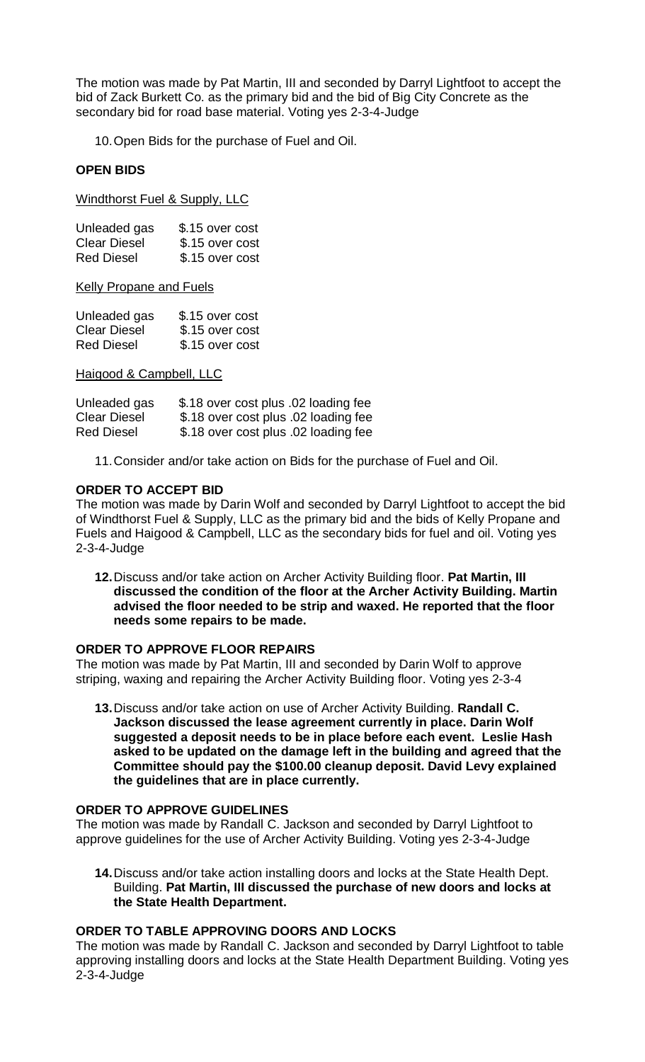The motion was made by Pat Martin, III and seconded by Darryl Lightfoot to accept the bid of Zack Burkett Co. as the primary bid and the bid of Big City Concrete as the secondary bid for road base material. Voting yes 2-3-4-Judge

10.Open Bids for the purchase of Fuel and Oil.

### **OPEN BIDS**

Windthorst Fuel & Supply, LLC

| Unleaded gas        | \$.15 over cost |
|---------------------|-----------------|
| <b>Clear Diesel</b> | \$.15 over cost |
| <b>Red Diesel</b>   | \$.15 over cost |

Kelly Propane and Fuels

| Unleaded gas        | \$.15 over cost |
|---------------------|-----------------|
| <b>Clear Diesel</b> | \$.15 over cost |
| <b>Red Diesel</b>   | \$.15 over cost |

#### Haigood & Campbell, LLC

| Unleaded gas        | \$.18 over cost plus .02 loading fee |
|---------------------|--------------------------------------|
| <b>Clear Diesel</b> | \$.18 over cost plus .02 loading fee |
| <b>Red Diesel</b>   | \$.18 over cost plus .02 loading fee |

11.Consider and/or take action on Bids for the purchase of Fuel and Oil.

#### **ORDER TO ACCEPT BID**

The motion was made by Darin Wolf and seconded by Darryl Lightfoot to accept the bid of Windthorst Fuel & Supply, LLC as the primary bid and the bids of Kelly Propane and Fuels and Haigood & Campbell, LLC as the secondary bids for fuel and oil. Voting yes 2-3-4-Judge

**12.**Discuss and/or take action on Archer Activity Building floor. **Pat Martin, III discussed the condition of the floor at the Archer Activity Building. Martin advised the floor needed to be strip and waxed. He reported that the floor needs some repairs to be made.**

#### **ORDER TO APPROVE FLOOR REPAIRS**

The motion was made by Pat Martin, III and seconded by Darin Wolf to approve striping, waxing and repairing the Archer Activity Building floor. Voting yes 2-3-4

**13.**Discuss and/or take action on use of Archer Activity Building. **Randall C. Jackson discussed the lease agreement currently in place. Darin Wolf suggested a deposit needs to be in place before each event. Leslie Hash asked to be updated on the damage left in the building and agreed that the Committee should pay the \$100.00 cleanup deposit. David Levy explained the guidelines that are in place currently.**

# **ORDER TO APPROVE GUIDELINES**

The motion was made by Randall C. Jackson and seconded by Darryl Lightfoot to approve guidelines for the use of Archer Activity Building. Voting yes 2-3-4-Judge

**14.**Discuss and/or take action installing doors and locks at the State Health Dept. Building. **Pat Martin, III discussed the purchase of new doors and locks at the State Health Department.**

#### **ORDER TO TABLE APPROVING DOORS AND LOCKS**

The motion was made by Randall C. Jackson and seconded by Darryl Lightfoot to table approving installing doors and locks at the State Health Department Building. Voting yes 2-3-4-Judge